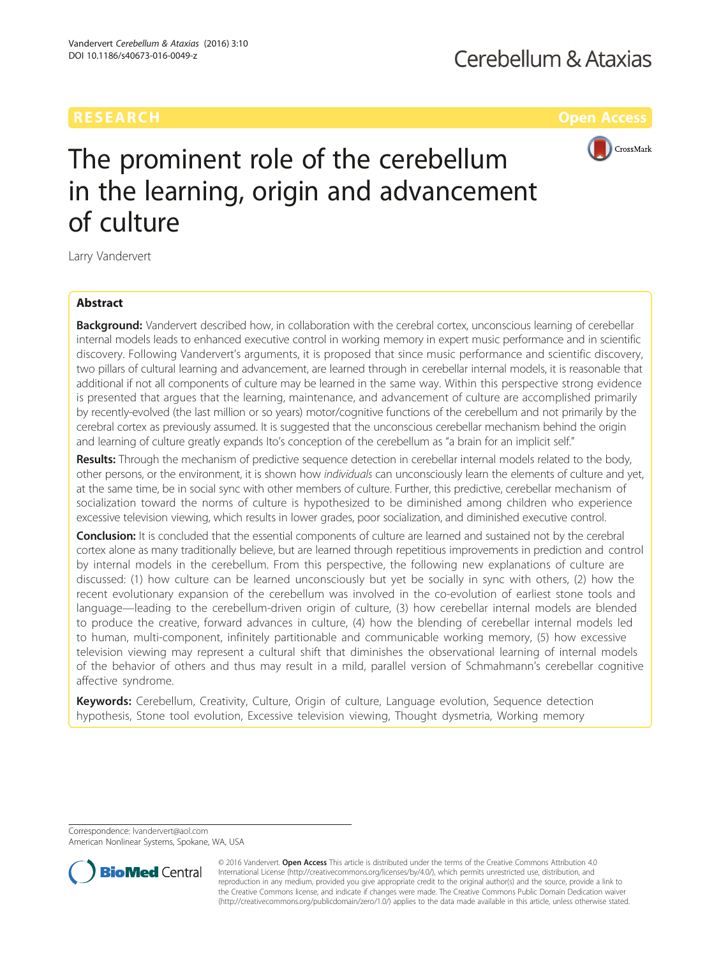

# The prominent role of the cerebellum in the learning, origin and advancement of culture

Larry Vandervert

# Abstract

Background: Vandervert described how, in collaboration with the cerebral cortex, unconscious learning of cerebellar internal models leads to enhanced executive control in working memory in expert music performance and in scientific discovery. Following Vandervert's arguments, it is proposed that since music performance and scientific discovery, two pillars of cultural learning and advancement, are learned through in cerebellar internal models, it is reasonable that additional if not all components of culture may be learned in the same way. Within this perspective strong evidence is presented that argues that the learning, maintenance, and advancement of culture are accomplished primarily by recently-evolved (the last million or so years) motor/cognitive functions of the cerebellum and not primarily by the cerebral cortex as previously assumed. It is suggested that the unconscious cerebellar mechanism behind the origin and learning of culture greatly expands Ito's conception of the cerebellum as "a brain for an implicit self."

Results: Through the mechanism of predictive sequence detection in cerebellar internal models related to the body, other persons, or the environment, it is shown how individuals can unconsciously learn the elements of culture and yet, at the same time, be in social sync with other members of culture. Further, this predictive, cerebellar mechanism of socialization toward the norms of culture is hypothesized to be diminished among children who experience excessive television viewing, which results in lower grades, poor socialization, and diminished executive control.

**Conclusion:** It is concluded that the essential components of culture are learned and sustained not by the cerebral cortex alone as many traditionally believe, but are learned through repetitious improvements in prediction and control by internal models in the cerebellum. From this perspective, the following new explanations of culture are discussed: (1) how culture can be learned unconsciously but yet be socially in sync with others, (2) how the recent evolutionary expansion of the cerebellum was involved in the co-evolution of earliest stone tools and language—leading to the cerebellum-driven origin of culture, (3) how cerebellar internal models are blended to produce the creative, forward advances in culture, (4) how the blending of cerebellar internal models led to human, multi-component, infinitely partitionable and communicable working memory, (5) how excessive television viewing may represent a cultural shift that diminishes the observational learning of internal models of the behavior of others and thus may result in a mild, parallel version of Schmahmann's cerebellar cognitive affective syndrome.

Keywords: Cerebellum, Creativity, Culture, Origin of culture, Language evolution, Sequence detection hypothesis, Stone tool evolution, Excessive television viewing, Thought dysmetria, Working memory

Correspondence: [lvandervert@aol.com](mailto:lvandervert@aol.com)

American Nonlinear Systems, Spokane, WA, USA



© 2016 Vandervert. Open Access This article is distributed under the terms of the Creative Commons Attribution 4.0 International License [\(http://creativecommons.org/licenses/by/4.0/](http://creativecommons.org/licenses/by/4.0/)), which permits unrestricted use, distribution, and reproduction in any medium, provided you give appropriate credit to the original author(s) and the source, provide a link to the Creative Commons license, and indicate if changes were made. The Creative Commons Public Domain Dedication waiver [\(http://creativecommons.org/publicdomain/zero/1.0/](http://creativecommons.org/publicdomain/zero/1.0/)) applies to the data made available in this article, unless otherwise stated.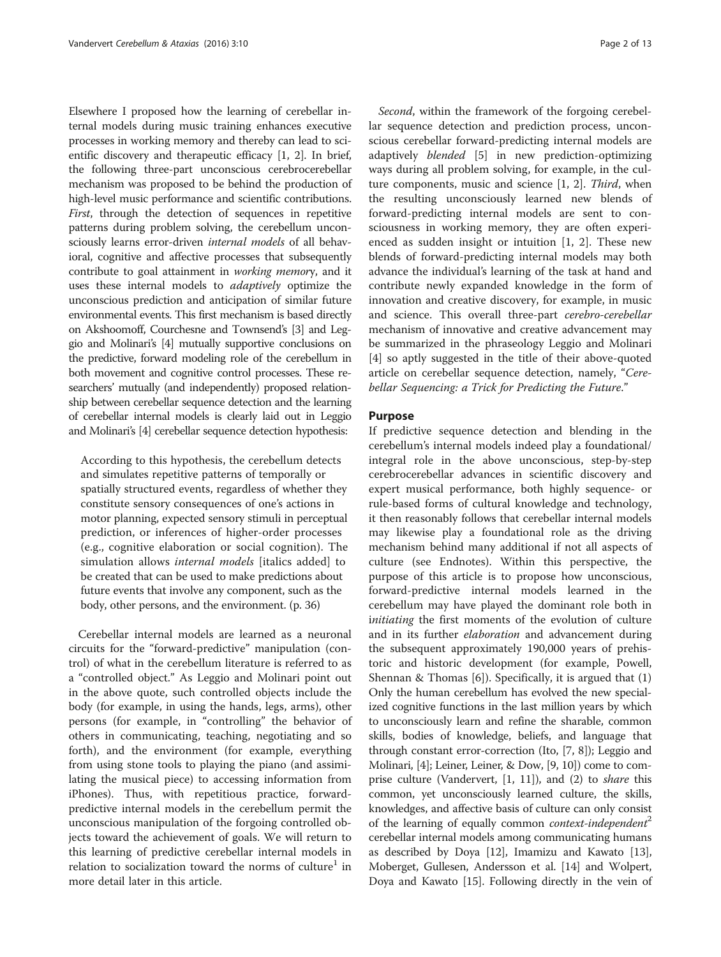Elsewhere I proposed how the learning of cerebellar internal models during music training enhances executive processes in working memory and thereby can lead to scientific discovery and therapeutic efficacy [\[1](#page-10-0), [2](#page-10-0)]. In brief, the following three-part unconscious cerebrocerebellar mechanism was proposed to be behind the production of high-level music performance and scientific contributions. First, through the detection of sequences in repetitive patterns during problem solving, the cerebellum unconsciously learns error-driven internal models of all behavioral, cognitive and affective processes that subsequently contribute to goal attainment in working memory, and it uses these internal models to *adaptively* optimize the unconscious prediction and anticipation of similar future environmental events. This first mechanism is based directly on Akshoomoff, Courchesne and Townsend's [\[3](#page-11-0)] and Leggio and Molinari's [\[4\]](#page-11-0) mutually supportive conclusions on the predictive, forward modeling role of the cerebellum in both movement and cognitive control processes. These researchers' mutually (and independently) proposed relationship between cerebellar sequence detection and the learning of cerebellar internal models is clearly laid out in Leggio and Molinari's [\[4](#page-11-0)] cerebellar sequence detection hypothesis:

According to this hypothesis, the cerebellum detects and simulates repetitive patterns of temporally or spatially structured events, regardless of whether they constitute sensory consequences of one's actions in motor planning, expected sensory stimuli in perceptual prediction, or inferences of higher-order processes (e.g., cognitive elaboration or social cognition). The simulation allows *internal models* [italics added] to be created that can be used to make predictions about future events that involve any component, such as the body, other persons, and the environment. (p. 36)

Cerebellar internal models are learned as a neuronal circuits for the "forward-predictive" manipulation (control) of what in the cerebellum literature is referred to as a "controlled object." As Leggio and Molinari point out in the above quote, such controlled objects include the body (for example, in using the hands, legs, arms), other persons (for example, in "controlling" the behavior of others in communicating, teaching, negotiating and so forth), and the environment (for example, everything from using stone tools to playing the piano (and assimilating the musical piece) to accessing information from iPhones). Thus, with repetitious practice, forwardpredictive internal models in the cerebellum permit the unconscious manipulation of the forgoing controlled objects toward the achievement of goals. We will return to this learning of predictive cerebellar internal models in relation to socialization toward the norms of culture<sup>1</sup> in more detail later in this article.

Second, within the framework of the forgoing cerebellar sequence detection and prediction process, unconscious cerebellar forward-predicting internal models are adaptively *blended* [\[5\]](#page-11-0) in new prediction-optimizing ways during all problem solving, for example, in the culture components, music and science [\[1](#page-10-0), [2\]](#page-10-0). Third, when the resulting unconsciously learned new blends of forward-predicting internal models are sent to consciousness in working memory, they are often experienced as sudden insight or intuition [\[1](#page-10-0), [2](#page-10-0)]. These new blends of forward-predicting internal models may both advance the individual's learning of the task at hand and contribute newly expanded knowledge in the form of innovation and creative discovery, for example, in music and science. This overall three-part cerebro-cerebellar mechanism of innovative and creative advancement may be summarized in the phraseology Leggio and Molinari [[4\]](#page-11-0) so aptly suggested in the title of their above-quoted article on cerebellar sequence detection, namely, "Cerebellar Sequencing: a Trick for Predicting the Future."

#### Purpose

If predictive sequence detection and blending in the cerebellum's internal models indeed play a foundational/ integral role in the above unconscious, step-by-step cerebrocerebellar advances in scientific discovery and expert musical performance, both highly sequence- or rule-based forms of cultural knowledge and technology, it then reasonably follows that cerebellar internal models may likewise play a foundational role as the driving mechanism behind many additional if not all aspects of culture (see Endnotes). Within this perspective, the purpose of this article is to propose how unconscious, forward-predictive internal models learned in the cerebellum may have played the dominant role both in initiating the first moments of the evolution of culture and in its further *elaboration* and advancement during the subsequent approximately 190,000 years of prehistoric and historic development (for example, Powell, Shennan & Thomas [[6\]](#page-11-0)). Specifically, it is argued that (1) Only the human cerebellum has evolved the new specialized cognitive functions in the last million years by which to unconsciously learn and refine the sharable, common skills, bodies of knowledge, beliefs, and language that through constant error-correction (Ito, [[7, 8\]](#page-11-0)); Leggio and Molinari, [\[4](#page-11-0)]; Leiner, Leiner, & Dow, [[9](#page-11-0), [10\]](#page-11-0)) come to com-prise culture (Vandervert, [\[1](#page-10-0), [11](#page-11-0)]), and (2) to *share* this common, yet unconsciously learned culture, the skills, knowledges, and affective basis of culture can only consist of the learning of equally common *context-independent*<sup>2</sup> cerebellar internal models among communicating humans as described by Doya [[12](#page-11-0)], Imamizu and Kawato [[13](#page-11-0)], Moberget, Gullesen, Andersson et al. [[14](#page-11-0)] and Wolpert, Doya and Kawato [\[15](#page-11-0)]. Following directly in the vein of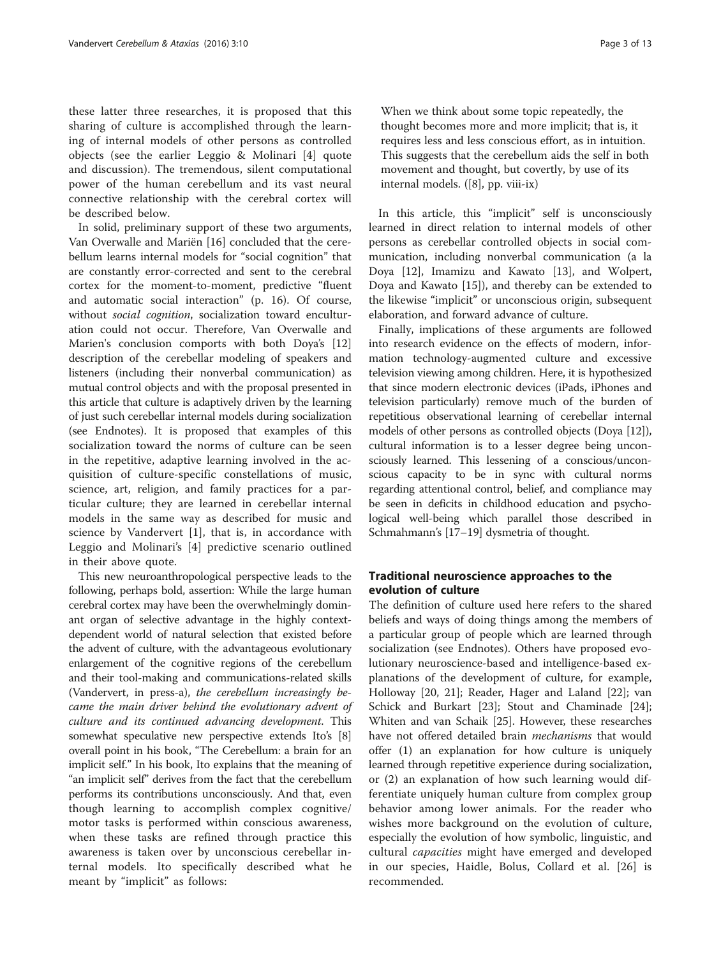these latter three researches, it is proposed that this sharing of culture is accomplished through the learning of internal models of other persons as controlled objects (see the earlier Leggio & Molinari [\[4](#page-11-0)] quote and discussion). The tremendous, silent computational power of the human cerebellum and its vast neural connective relationship with the cerebral cortex will be described below.

In solid, preliminary support of these two arguments, Van Overwalle and Mariën [[16\]](#page-11-0) concluded that the cerebellum learns internal models for "social cognition" that are constantly error-corrected and sent to the cerebral cortex for the moment-to-moment, predictive "fluent and automatic social interaction" (p. 16). Of course, without social cognition, socialization toward enculturation could not occur. Therefore, Van Overwalle and Marien's conclusion comports with both Doya's [[12](#page-11-0)] description of the cerebellar modeling of speakers and listeners (including their nonverbal communication) as mutual control objects and with the proposal presented in this article that culture is adaptively driven by the learning of just such cerebellar internal models during socialization (see Endnotes). It is proposed that examples of this socialization toward the norms of culture can be seen in the repetitive, adaptive learning involved in the acquisition of culture-specific constellations of music, science, art, religion, and family practices for a particular culture; they are learned in cerebellar internal models in the same way as described for music and science by Vandervert [\[1](#page-10-0)], that is, in accordance with Leggio and Molinari's [\[4](#page-11-0)] predictive scenario outlined in their above quote.

This new neuroanthropological perspective leads to the following, perhaps bold, assertion: While the large human cerebral cortex may have been the overwhelmingly dominant organ of selective advantage in the highly contextdependent world of natural selection that existed before the advent of culture, with the advantageous evolutionary enlargement of the cognitive regions of the cerebellum and their tool-making and communications-related skills (Vandervert, in press-a), the cerebellum increasingly became the main driver behind the evolutionary advent of culture and its continued advancing development. This somewhat speculative new perspective extends Ito's [[8](#page-11-0)] overall point in his book, "The Cerebellum: a brain for an implicit self." In his book, Ito explains that the meaning of "an implicit self" derives from the fact that the cerebellum performs its contributions unconsciously. And that, even though learning to accomplish complex cognitive/ motor tasks is performed within conscious awareness, when these tasks are refined through practice this awareness is taken over by unconscious cerebellar internal models. Ito specifically described what he meant by "implicit" as follows:

When we think about some topic repeatedly, the thought becomes more and more implicit; that is, it requires less and less conscious effort, as in intuition. This suggests that the cerebellum aids the self in both movement and thought, but covertly, by use of its internal models. ([[8\]](#page-11-0), pp. viii-ix)

In this article, this "implicit" self is unconsciously learned in direct relation to internal models of other persons as cerebellar controlled objects in social communication, including nonverbal communication (a la Doya [\[12\]](#page-11-0), Imamizu and Kawato [[13\]](#page-11-0), and Wolpert, Doya and Kawato [[15\]](#page-11-0)), and thereby can be extended to the likewise "implicit" or unconscious origin, subsequent elaboration, and forward advance of culture.

Finally, implications of these arguments are followed into research evidence on the effects of modern, information technology-augmented culture and excessive television viewing among children. Here, it is hypothesized that since modern electronic devices (iPads, iPhones and television particularly) remove much of the burden of repetitious observational learning of cerebellar internal models of other persons as controlled objects (Doya [[12](#page-11-0)]), cultural information is to a lesser degree being unconsciously learned. This lessening of a conscious/unconscious capacity to be in sync with cultural norms regarding attentional control, belief, and compliance may be seen in deficits in childhood education and psychological well-being which parallel those described in Schmahmann's [[17](#page-11-0)–[19\]](#page-11-0) dysmetria of thought.

#### Traditional neuroscience approaches to the evolution of culture

The definition of culture used here refers to the shared beliefs and ways of doing things among the members of a particular group of people which are learned through socialization (see Endnotes). Others have proposed evolutionary neuroscience-based and intelligence-based explanations of the development of culture, for example, Holloway [[20, 21](#page-11-0)]; Reader, Hager and Laland [[22\]](#page-11-0); van Schick and Burkart [\[23](#page-11-0)]; Stout and Chaminade [\[24](#page-11-0)]; Whiten and van Schaik [\[25](#page-11-0)]. However, these researches have not offered detailed brain *mechanisms* that would offer (1) an explanation for how culture is uniquely learned through repetitive experience during socialization, or (2) an explanation of how such learning would differentiate uniquely human culture from complex group behavior among lower animals. For the reader who wishes more background on the evolution of culture, especially the evolution of how symbolic, linguistic, and cultural capacities might have emerged and developed in our species, Haidle, Bolus, Collard et al. [[26\]](#page-11-0) is recommended.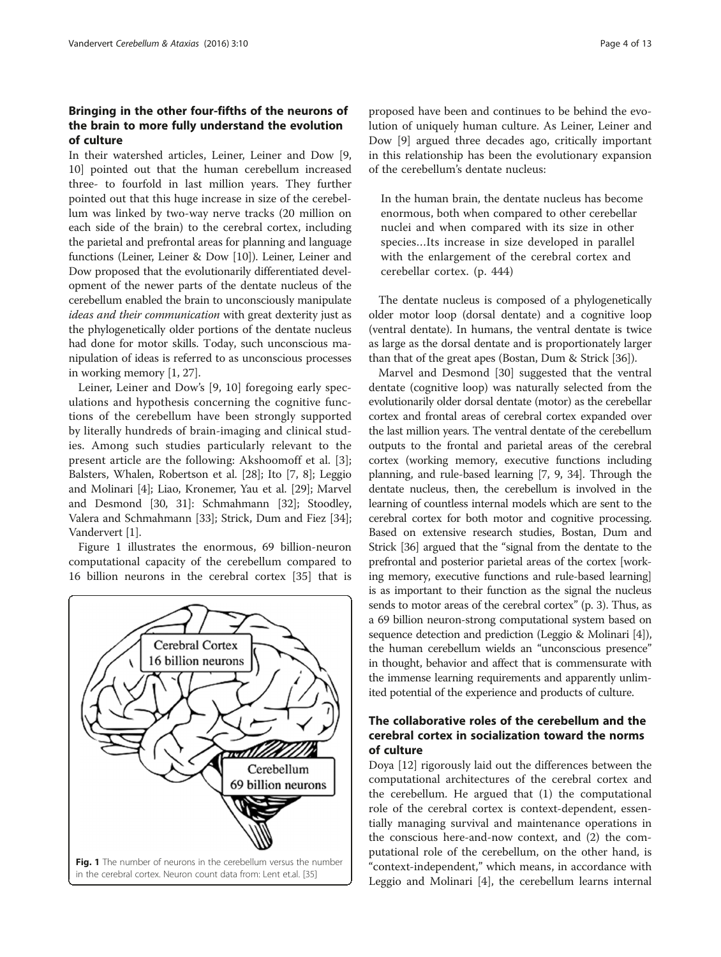### Bringing in the other four-fifths of the neurons of the brain to more fully understand the evolution of culture

In their watershed articles, Leiner, Leiner and Dow [\[9](#page-11-0), [10\]](#page-11-0) pointed out that the human cerebellum increased three- to fourfold in last million years. They further pointed out that this huge increase in size of the cerebellum was linked by two-way nerve tracks (20 million on each side of the brain) to the cerebral cortex, including the parietal and prefrontal areas for planning and language functions (Leiner, Leiner & Dow [\[10](#page-11-0)]). Leiner, Leiner and Dow proposed that the evolutionarily differentiated development of the newer parts of the dentate nucleus of the cerebellum enabled the brain to unconsciously manipulate ideas and their communication with great dexterity just as the phylogenetically older portions of the dentate nucleus had done for motor skills. Today, such unconscious manipulation of ideas is referred to as unconscious processes in working memory [[1](#page-10-0), [27\]](#page-11-0).

Leiner, Leiner and Dow's [[9, 10](#page-11-0)] foregoing early speculations and hypothesis concerning the cognitive functions of the cerebellum have been strongly supported by literally hundreds of brain-imaging and clinical studies. Among such studies particularly relevant to the present article are the following: Akshoomoff et al. [\[3](#page-11-0)]; Balsters, Whalen, Robertson et al. [[28](#page-11-0)]; Ito [[7](#page-11-0), [8](#page-11-0)]; Leggio and Molinari [[4](#page-11-0)]; Liao, Kronemer, Yau et al. [[29](#page-11-0)]; Marvel and Desmond [\[30, 31](#page-11-0)]: Schmahmann [\[32](#page-11-0)]; Stoodley, Valera and Schmahmann [[33](#page-11-0)]; Strick, Dum and Fiez [[34](#page-11-0)]; Vandervert [[1\]](#page-10-0).

Figure 1 illustrates the enormous, 69 billion-neuron computational capacity of the cerebellum compared to 16 billion neurons in the cerebral cortex [[35](#page-11-0)] that is



proposed have been and continues to be behind the evolution of uniquely human culture. As Leiner, Leiner and Dow [\[9](#page-11-0)] argued three decades ago, critically important in this relationship has been the evolutionary expansion of the cerebellum's dentate nucleus:

In the human brain, the dentate nucleus has become enormous, both when compared to other cerebellar nuclei and when compared with its size in other species…Its increase in size developed in parallel with the enlargement of the cerebral cortex and cerebellar cortex. (p. 444)

The dentate nucleus is composed of a phylogenetically older motor loop (dorsal dentate) and a cognitive loop (ventral dentate). In humans, the ventral dentate is twice as large as the dorsal dentate and is proportionately larger than that of the great apes (Bostan, Dum & Strick [[36](#page-11-0)]).

Marvel and Desmond [[30\]](#page-11-0) suggested that the ventral dentate (cognitive loop) was naturally selected from the evolutionarily older dorsal dentate (motor) as the cerebellar cortex and frontal areas of cerebral cortex expanded over the last million years. The ventral dentate of the cerebellum outputs to the frontal and parietal areas of the cerebral cortex (working memory, executive functions including planning, and rule-based learning [\[7](#page-11-0), [9, 34](#page-11-0)]. Through the dentate nucleus, then, the cerebellum is involved in the learning of countless internal models which are sent to the cerebral cortex for both motor and cognitive processing. Based on extensive research studies, Bostan, Dum and Strick [\[36](#page-11-0)] argued that the "signal from the dentate to the prefrontal and posterior parietal areas of the cortex [working memory, executive functions and rule-based learning] is as important to their function as the signal the nucleus sends to motor areas of the cerebral cortex" (p. 3). Thus, as a 69 billion neuron-strong computational system based on sequence detection and prediction (Leggio & Molinari [[4](#page-11-0)]), the human cerebellum wields an "unconscious presence" in thought, behavior and affect that is commensurate with the immense learning requirements and apparently unlimited potential of the experience and products of culture.

# The collaborative roles of the cerebellum and the cerebral cortex in socialization toward the norms of culture

Doya [[12\]](#page-11-0) rigorously laid out the differences between the computational architectures of the cerebral cortex and the cerebellum. He argued that (1) the computational role of the cerebral cortex is context-dependent, essentially managing survival and maintenance operations in the conscious here-and-now context, and (2) the computational role of the cerebellum, on the other hand, is "context-independent," which means, in accordance with Leggio and Molinari [[4\]](#page-11-0), the cerebellum learns internal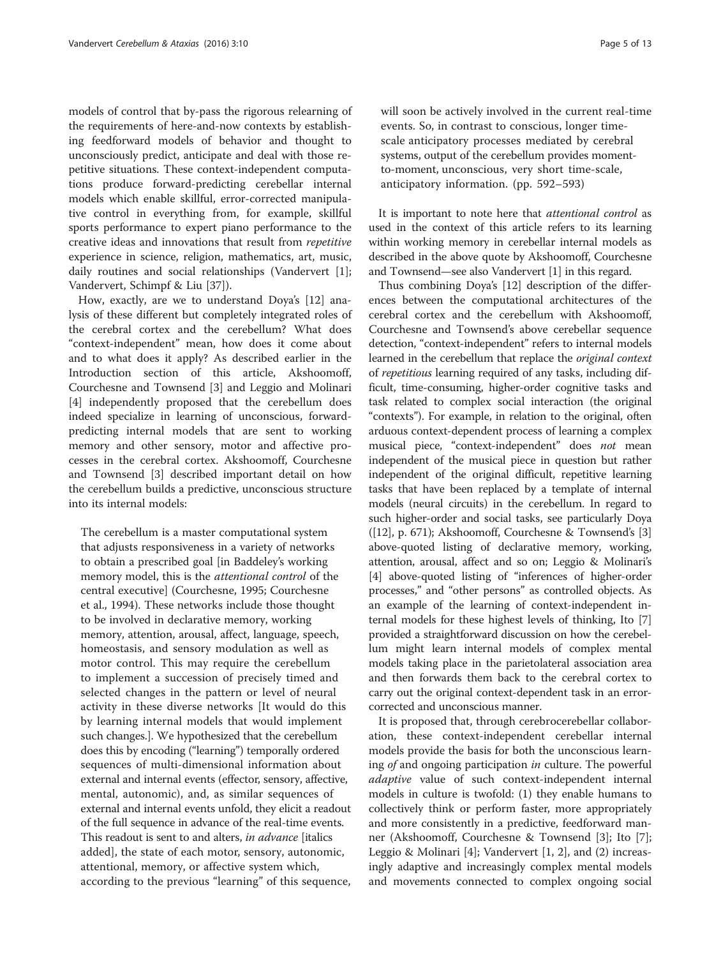models of control that by-pass the rigorous relearning of the requirements of here-and-now contexts by establishing feedforward models of behavior and thought to unconsciously predict, anticipate and deal with those repetitive situations. These context-independent computations produce forward-predicting cerebellar internal models which enable skillful, error-corrected manipulative control in everything from, for example, skillful sports performance to expert piano performance to the creative ideas and innovations that result from repetitive experience in science, religion, mathematics, art, music, daily routines and social relationships (Vandervert [\[1](#page-10-0)]; Vandervert, Schimpf & Liu [\[37](#page-11-0)]).

How, exactly, are we to understand Doya's [\[12](#page-11-0)] analysis of these different but completely integrated roles of the cerebral cortex and the cerebellum? What does "context-independent" mean, how does it come about and to what does it apply? As described earlier in the Introduction section of this article, Akshoomoff, Courchesne and Townsend [\[3](#page-11-0)] and Leggio and Molinari [[4\]](#page-11-0) independently proposed that the cerebellum does indeed specialize in learning of unconscious, forwardpredicting internal models that are sent to working memory and other sensory, motor and affective processes in the cerebral cortex. Akshoomoff, Courchesne and Townsend [[3\]](#page-11-0) described important detail on how the cerebellum builds a predictive, unconscious structure into its internal models:

The cerebellum is a master computational system that adjusts responsiveness in a variety of networks to obtain a prescribed goal [in Baddeley's working memory model, this is the attentional control of the central executive] (Courchesne, 1995; Courchesne et al., 1994). These networks include those thought to be involved in declarative memory, working memory, attention, arousal, affect, language, speech, homeostasis, and sensory modulation as well as motor control. This may require the cerebellum to implement a succession of precisely timed and selected changes in the pattern or level of neural activity in these diverse networks [It would do this by learning internal models that would implement such changes.]. We hypothesized that the cerebellum does this by encoding ("learning") temporally ordered sequences of multi-dimensional information about external and internal events (effector, sensory, affective, mental, autonomic), and, as similar sequences of external and internal events unfold, they elicit a readout of the full sequence in advance of the real-time events. This readout is sent to and alters, in advance [italics] added], the state of each motor, sensory, autonomic, attentional, memory, or affective system which, according to the previous "learning" of this sequence, will soon be actively involved in the current real-time events. So, in contrast to conscious, longer timescale anticipatory processes mediated by cerebral systems, output of the cerebellum provides momentto-moment, unconscious, very short time-scale, anticipatory information. (pp. 592–593)

It is important to note here that attentional control as used in the context of this article refers to its learning within working memory in cerebellar internal models as described in the above quote by Akshoomoff, Courchesne and Townsend—see also Vandervert [\[1](#page-10-0)] in this regard.

Thus combining Doya's [\[12\]](#page-11-0) description of the differences between the computational architectures of the cerebral cortex and the cerebellum with Akshoomoff, Courchesne and Townsend's above cerebellar sequence detection, "context-independent" refers to internal models learned in the cerebellum that replace the original context of repetitious learning required of any tasks, including difficult, time-consuming, higher-order cognitive tasks and task related to complex social interaction (the original "contexts"). For example, in relation to the original, often arduous context-dependent process of learning a complex musical piece, "context-independent" does not mean independent of the musical piece in question but rather independent of the original difficult, repetitive learning tasks that have been replaced by a template of internal models (neural circuits) in the cerebellum. In regard to such higher-order and social tasks, see particularly Doya ([\[12\]](#page-11-0), p. 671); Akshoomoff, Courchesne & Townsend's [[3](#page-11-0)] above-quoted listing of declarative memory, working, attention, arousal, affect and so on; Leggio & Molinari's [[4\]](#page-11-0) above-quoted listing of "inferences of higher-order processes," and "other persons" as controlled objects. As an example of the learning of context-independent internal models for these highest levels of thinking, Ito [[7](#page-11-0)] provided a straightforward discussion on how the cerebellum might learn internal models of complex mental models taking place in the parietolateral association area and then forwards them back to the cerebral cortex to carry out the original context-dependent task in an errorcorrected and unconscious manner.

It is proposed that, through cerebrocerebellar collaboration, these context-independent cerebellar internal models provide the basis for both the unconscious learning of and ongoing participation in culture. The powerful adaptive value of such context-independent internal models in culture is twofold: (1) they enable humans to collectively think or perform faster, more appropriately and more consistently in a predictive, feedforward manner (Akshoomoff, Courchesne & Townsend [\[3](#page-11-0)]; Ito [\[7](#page-11-0)]; Leggio & Molinari [\[4](#page-11-0)]; Vandervert [[1, 2\]](#page-10-0), and (2) increasingly adaptive and increasingly complex mental models and movements connected to complex ongoing social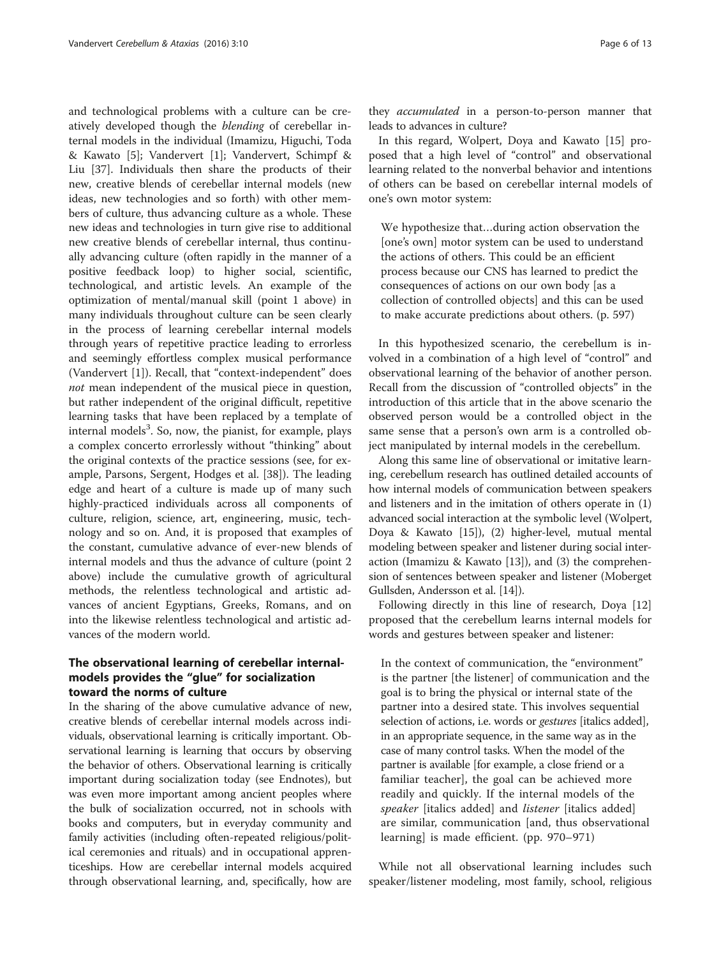and technological problems with a culture can be creatively developed though the blending of cerebellar internal models in the individual (Imamizu, Higuchi, Toda & Kawato [[5\]](#page-11-0); Vandervert [[1\]](#page-10-0); Vandervert, Schimpf & Liu [\[37](#page-11-0)]. Individuals then share the products of their new, creative blends of cerebellar internal models (new ideas, new technologies and so forth) with other members of culture, thus advancing culture as a whole. These new ideas and technologies in turn give rise to additional new creative blends of cerebellar internal, thus continually advancing culture (often rapidly in the manner of a positive feedback loop) to higher social, scientific, technological, and artistic levels. An example of the optimization of mental/manual skill (point 1 above) in many individuals throughout culture can be seen clearly in the process of learning cerebellar internal models through years of repetitive practice leading to errorless and seemingly effortless complex musical performance (Vandervert [[1\]](#page-10-0)). Recall, that "context-independent" does not mean independent of the musical piece in question, but rather independent of the original difficult, repetitive learning tasks that have been replaced by a template of internal models<sup>3</sup>. So, now, the pianist, for example, plays a complex concerto errorlessly without "thinking" about the original contexts of the practice sessions (see, for example, Parsons, Sergent, Hodges et al. [\[38](#page-11-0)]). The leading edge and heart of a culture is made up of many such highly-practiced individuals across all components of culture, religion, science, art, engineering, music, technology and so on. And, it is proposed that examples of the constant, cumulative advance of ever-new blends of internal models and thus the advance of culture (point 2 above) include the cumulative growth of agricultural methods, the relentless technological and artistic advances of ancient Egyptians, Greeks, Romans, and on into the likewise relentless technological and artistic advances of the modern world.

#### The observational learning of cerebellar internalmodels provides the "glue" for socialization toward the norms of culture

In the sharing of the above cumulative advance of new, creative blends of cerebellar internal models across individuals, observational learning is critically important. Observational learning is learning that occurs by observing the behavior of others. Observational learning is critically important during socialization today (see Endnotes), but was even more important among ancient peoples where the bulk of socialization occurred, not in schools with books and computers, but in everyday community and family activities (including often-repeated religious/political ceremonies and rituals) and in occupational apprenticeships. How are cerebellar internal models acquired through observational learning, and, specifically, how are

they accumulated in a person-to-person manner that leads to advances in culture?

In this regard, Wolpert, Doya and Kawato [\[15](#page-11-0)] proposed that a high level of "control" and observational learning related to the nonverbal behavior and intentions of others can be based on cerebellar internal models of one's own motor system:

We hypothesize that…during action observation the [one's own] motor system can be used to understand the actions of others. This could be an efficient process because our CNS has learned to predict the consequences of actions on our own body [as a collection of controlled objects] and this can be used to make accurate predictions about others. (p. 597)

In this hypothesized scenario, the cerebellum is involved in a combination of a high level of "control" and observational learning of the behavior of another person. Recall from the discussion of "controlled objects" in the introduction of this article that in the above scenario the observed person would be a controlled object in the same sense that a person's own arm is a controlled object manipulated by internal models in the cerebellum.

Along this same line of observational or imitative learning, cerebellum research has outlined detailed accounts of how internal models of communication between speakers and listeners and in the imitation of others operate in (1) advanced social interaction at the symbolic level (Wolpert, Doya & Kawato [\[15\]](#page-11-0)), (2) higher-level, mutual mental modeling between speaker and listener during social interaction (Imamizu & Kawato [[13](#page-11-0)]), and (3) the comprehension of sentences between speaker and listener (Moberget Gullsden, Andersson et al. [\[14](#page-11-0)]).

Following directly in this line of research, Doya [[12](#page-11-0)] proposed that the cerebellum learns internal models for words and gestures between speaker and listener:

In the context of communication, the "environment" is the partner [the listener] of communication and the goal is to bring the physical or internal state of the partner into a desired state. This involves sequential selection of actions, i.e. words or *gestures* [italics added], in an appropriate sequence, in the same way as in the case of many control tasks. When the model of the partner is available [for example, a close friend or a familiar teacher], the goal can be achieved more readily and quickly. If the internal models of the speaker [italics added] and *listener* [italics added] are similar, communication [and, thus observational learning] is made efficient. (pp. 970–971)

While not all observational learning includes such speaker/listener modeling, most family, school, religious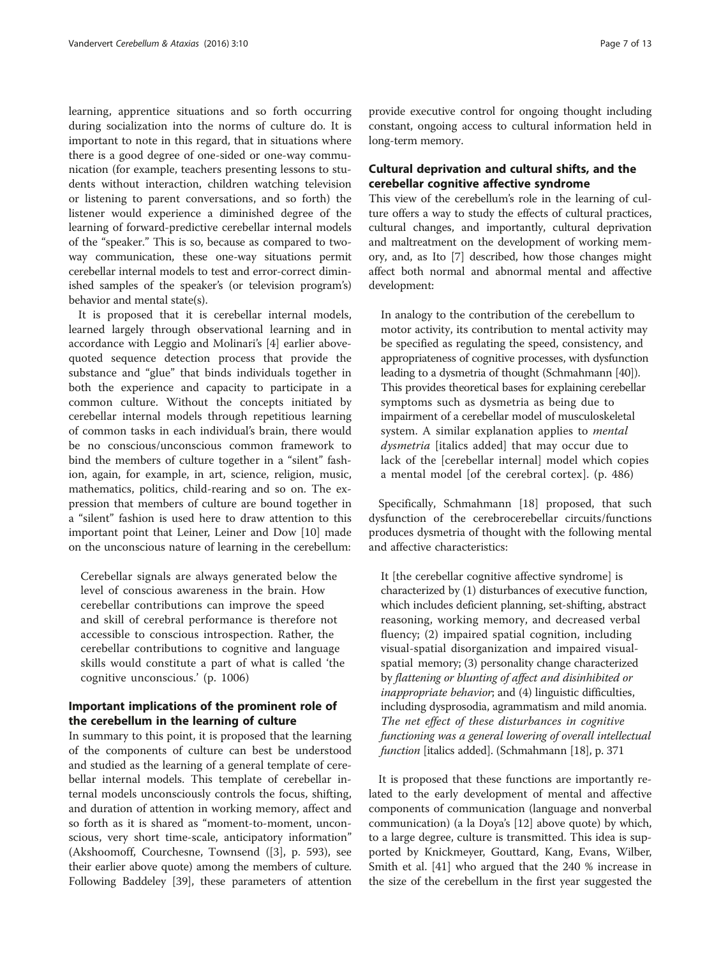learning, apprentice situations and so forth occurring during socialization into the norms of culture do. It is important to note in this regard, that in situations where there is a good degree of one-sided or one-way communication (for example, teachers presenting lessons to students without interaction, children watching television or listening to parent conversations, and so forth) the listener would experience a diminished degree of the learning of forward-predictive cerebellar internal models of the "speaker." This is so, because as compared to twoway communication, these one-way situations permit cerebellar internal models to test and error-correct diminished samples of the speaker's (or television program's) behavior and mental state(s).

It is proposed that it is cerebellar internal models, learned largely through observational learning and in accordance with Leggio and Molinari's [[4\]](#page-11-0) earlier abovequoted sequence detection process that provide the substance and "glue" that binds individuals together in both the experience and capacity to participate in a common culture. Without the concepts initiated by cerebellar internal models through repetitious learning of common tasks in each individual's brain, there would be no conscious/unconscious common framework to bind the members of culture together in a "silent" fashion, again, for example, in art, science, religion, music, mathematics, politics, child-rearing and so on. The expression that members of culture are bound together in a "silent" fashion is used here to draw attention to this important point that Leiner, Leiner and Dow [[10](#page-11-0)] made on the unconscious nature of learning in the cerebellum:

Cerebellar signals are always generated below the level of conscious awareness in the brain. How cerebellar contributions can improve the speed and skill of cerebral performance is therefore not accessible to conscious introspection. Rather, the cerebellar contributions to cognitive and language skills would constitute a part of what is called 'the cognitive unconscious.' (p. 1006)

#### Important implications of the prominent role of the cerebellum in the learning of culture

In summary to this point, it is proposed that the learning of the components of culture can best be understood and studied as the learning of a general template of cerebellar internal models. This template of cerebellar internal models unconsciously controls the focus, shifting, and duration of attention in working memory, affect and so forth as it is shared as "moment-to-moment, unconscious, very short time-scale, anticipatory information" (Akshoomoff, Courchesne, Townsend ([[3\]](#page-11-0), p. 593), see their earlier above quote) among the members of culture. Following Baddeley [\[39](#page-11-0)], these parameters of attention provide executive control for ongoing thought including constant, ongoing access to cultural information held in long-term memory.

### Cultural deprivation and cultural shifts, and the cerebellar cognitive affective syndrome

This view of the cerebellum's role in the learning of culture offers a way to study the effects of cultural practices, cultural changes, and importantly, cultural deprivation and maltreatment on the development of working memory, and, as Ito [[7\]](#page-11-0) described, how those changes might affect both normal and abnormal mental and affective development:

In analogy to the contribution of the cerebellum to motor activity, its contribution to mental activity may be specified as regulating the speed, consistency, and appropriateness of cognitive processes, with dysfunction leading to a dysmetria of thought (Schmahmann [[40\]](#page-11-0)). This provides theoretical bases for explaining cerebellar symptoms such as dysmetria as being due to impairment of a cerebellar model of musculoskeletal system. A similar explanation applies to *mental* dysmetria [italics added] that may occur due to lack of the [cerebellar internal] model which copies a mental model [of the cerebral cortex]. (p. 486)

Specifically, Schmahmann [\[18\]](#page-11-0) proposed, that such dysfunction of the cerebrocerebellar circuits/functions produces dysmetria of thought with the following mental and affective characteristics:

It [the cerebellar cognitive affective syndrome] is characterized by (1) disturbances of executive function, which includes deficient planning, set-shifting, abstract reasoning, working memory, and decreased verbal fluency; (2) impaired spatial cognition, including visual-spatial disorganization and impaired visualspatial memory; (3) personality change characterized by flattening or blunting of affect and disinhibited or inappropriate behavior; and (4) linguistic difficulties, including dysprosodia, agrammatism and mild anomia. The net effect of these disturbances in cognitive functioning was a general lowering of overall intellectual function [italics added]. (Schmahmann [\[18\]](#page-11-0), p. 371

It is proposed that these functions are importantly related to the early development of mental and affective components of communication (language and nonverbal communication) (a la Doya's [[12](#page-11-0)] above quote) by which, to a large degree, culture is transmitted. This idea is supported by Knickmeyer, Gouttard, Kang, Evans, Wilber, Smith et al. [[41\]](#page-11-0) who argued that the 240 % increase in the size of the cerebellum in the first year suggested the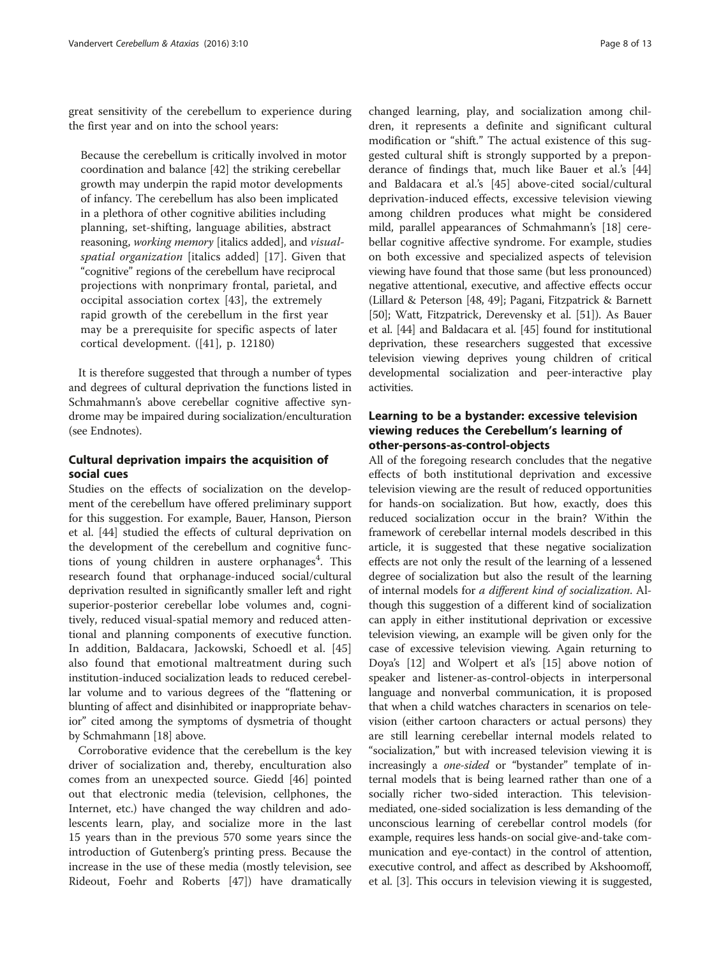great sensitivity of the cerebellum to experience during the first year and on into the school years:

Because the cerebellum is critically involved in motor coordination and balance [[42](#page-11-0)] the striking cerebellar growth may underpin the rapid motor developments of infancy. The cerebellum has also been implicated in a plethora of other cognitive abilities including planning, set-shifting, language abilities, abstract reasoning, working memory [italics added], and visualspatial organization [italics added] [[17\]](#page-11-0). Given that "cognitive" regions of the cerebellum have reciprocal projections with nonprimary frontal, parietal, and occipital association cortex [[43\]](#page-11-0), the extremely rapid growth of the cerebellum in the first year may be a prerequisite for specific aspects of later cortical development. ([[41\]](#page-11-0), p. 12180)

It is therefore suggested that through a number of types and degrees of cultural deprivation the functions listed in Schmahmann's above cerebellar cognitive affective syndrome may be impaired during socialization/enculturation (see Endnotes).

#### Cultural deprivation impairs the acquisition of social cues

Studies on the effects of socialization on the development of the cerebellum have offered preliminary support for this suggestion. For example, Bauer, Hanson, Pierson et al. [[44](#page-11-0)] studied the effects of cultural deprivation on the development of the cerebellum and cognitive functions of young children in austere orphanages<sup>4</sup>. This research found that orphanage-induced social/cultural deprivation resulted in significantly smaller left and right superior-posterior cerebellar lobe volumes and, cognitively, reduced visual-spatial memory and reduced attentional and planning components of executive function. In addition, Baldacara, Jackowski, Schoedl et al. [\[45](#page-11-0)] also found that emotional maltreatment during such institution-induced socialization leads to reduced cerebellar volume and to various degrees of the "flattening or blunting of affect and disinhibited or inappropriate behavior" cited among the symptoms of dysmetria of thought by Schmahmann [[18](#page-11-0)] above.

Corroborative evidence that the cerebellum is the key driver of socialization and, thereby, enculturation also comes from an unexpected source. Giedd [\[46\]](#page-11-0) pointed out that electronic media (television, cellphones, the Internet, etc.) have changed the way children and adolescents learn, play, and socialize more in the last 15 years than in the previous 570 some years since the introduction of Gutenberg's printing press. Because the increase in the use of these media (mostly television, see Rideout, Foehr and Roberts [[47\]](#page-11-0)) have dramatically

changed learning, play, and socialization among children, it represents a definite and significant cultural modification or "shift." The actual existence of this suggested cultural shift is strongly supported by a preponderance of findings that, much like Bauer et al.'s [[44](#page-11-0)] and Baldacara et al.'s [[45\]](#page-11-0) above-cited social/cultural deprivation-induced effects, excessive television viewing among children produces what might be considered mild, parallel appearances of Schmahmann's [\[18](#page-11-0)] cerebellar cognitive affective syndrome. For example, studies on both excessive and specialized aspects of television viewing have found that those same (but less pronounced) negative attentional, executive, and affective effects occur (Lillard & Peterson [\[48, 49\]](#page-11-0); Pagani, Fitzpatrick & Barnett [[50](#page-11-0)]; Watt, Fitzpatrick, Derevensky et al. [[51\]](#page-11-0)). As Bauer et al. [[44](#page-11-0)] and Baldacara et al. [[45](#page-11-0)] found for institutional deprivation, these researchers suggested that excessive television viewing deprives young children of critical developmental socialization and peer-interactive play activities.

### Learning to be a bystander: excessive television viewing reduces the Cerebellum's learning of other-persons-as-control-objects

All of the foregoing research concludes that the negative effects of both institutional deprivation and excessive television viewing are the result of reduced opportunities for hands-on socialization. But how, exactly, does this reduced socialization occur in the brain? Within the framework of cerebellar internal models described in this article, it is suggested that these negative socialization effects are not only the result of the learning of a lessened degree of socialization but also the result of the learning of internal models for a different kind of socialization. Although this suggestion of a different kind of socialization can apply in either institutional deprivation or excessive television viewing, an example will be given only for the case of excessive television viewing. Again returning to Doya's [\[12\]](#page-11-0) and Wolpert et al's [\[15\]](#page-11-0) above notion of speaker and listener-as-control-objects in interpersonal language and nonverbal communication, it is proposed that when a child watches characters in scenarios on television (either cartoon characters or actual persons) they are still learning cerebellar internal models related to "socialization," but with increased television viewing it is increasingly a one-sided or "bystander" template of internal models that is being learned rather than one of a socially richer two-sided interaction. This televisionmediated, one-sided socialization is less demanding of the unconscious learning of cerebellar control models (for example, requires less hands-on social give-and-take communication and eye-contact) in the control of attention, executive control, and affect as described by Akshoomoff, et al. [[3](#page-11-0)]. This occurs in television viewing it is suggested,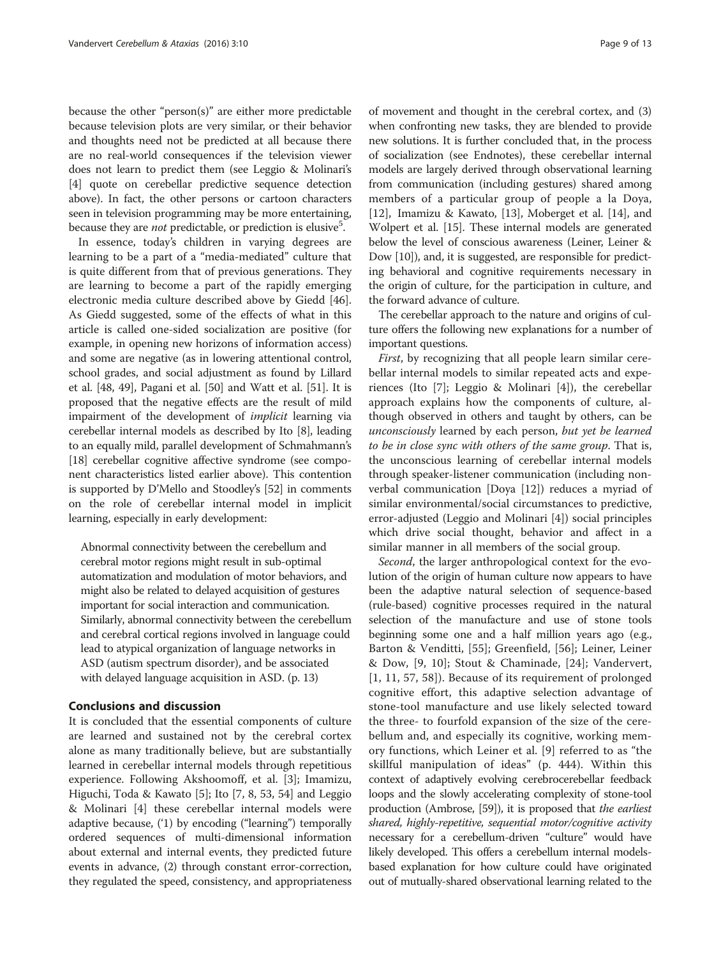because the other "person(s)" are either more predictable because television plots are very similar, or their behavior and thoughts need not be predicted at all because there are no real-world consequences if the television viewer does not learn to predict them (see Leggio & Molinari's [[4\]](#page-11-0) quote on cerebellar predictive sequence detection above). In fact, the other persons or cartoon characters seen in television programming may be more entertaining, because they are *not* predictable, or prediction is elusive<sup>5</sup>.

In essence, today's children in varying degrees are learning to be a part of a "media-mediated" culture that is quite different from that of previous generations. They are learning to become a part of the rapidly emerging electronic media culture described above by Giedd [\[46](#page-11-0)]. As Giedd suggested, some of the effects of what in this article is called one-sided socialization are positive (for example, in opening new horizons of information access) and some are negative (as in lowering attentional control, school grades, and social adjustment as found by Lillard et al. [[48](#page-11-0), [49\]](#page-11-0), Pagani et al. [\[50\]](#page-11-0) and Watt et al. [\[51](#page-11-0)]. It is proposed that the negative effects are the result of mild impairment of the development of implicit learning via cerebellar internal models as described by Ito [\[8](#page-11-0)], leading to an equally mild, parallel development of Schmahmann's [[18](#page-11-0)] cerebellar cognitive affective syndrome (see component characteristics listed earlier above). This contention is supported by D'Mello and Stoodley's [\[52](#page-11-0)] in comments on the role of cerebellar internal model in implicit learning, especially in early development:

Abnormal connectivity between the cerebellum and cerebral motor regions might result in sub-optimal automatization and modulation of motor behaviors, and might also be related to delayed acquisition of gestures important for social interaction and communication. Similarly, abnormal connectivity between the cerebellum and cerebral cortical regions involved in language could lead to atypical organization of language networks in ASD (autism spectrum disorder), and be associated with delayed language acquisition in ASD. (p. 13)

#### Conclusions and discussion

It is concluded that the essential components of culture are learned and sustained not by the cerebral cortex alone as many traditionally believe, but are substantially learned in cerebellar internal models through repetitious experience. Following Akshoomoff, et al. [\[3](#page-11-0)]; Imamizu, Higuchi, Toda & Kawato [\[5](#page-11-0)]; Ito [\[7, 8, 53, 54\]](#page-11-0) and Leggio & Molinari [[4](#page-11-0)] these cerebellar internal models were adaptive because, ('1) by encoding ("learning") temporally ordered sequences of multi-dimensional information about external and internal events, they predicted future events in advance, (2) through constant error-correction, they regulated the speed, consistency, and appropriateness

of movement and thought in the cerebral cortex, and (3) when confronting new tasks, they are blended to provide new solutions. It is further concluded that, in the process of socialization (see Endnotes), these cerebellar internal models are largely derived through observational learning from communication (including gestures) shared among members of a particular group of people a la Doya, [[12\]](#page-11-0), Imamizu & Kawato, [\[13\]](#page-11-0), Moberget et al. [\[14\]](#page-11-0), and Wolpert et al. [\[15\]](#page-11-0). These internal models are generated below the level of conscious awareness (Leiner, Leiner & Dow [\[10](#page-11-0)]), and, it is suggested, are responsible for predicting behavioral and cognitive requirements necessary in the origin of culture, for the participation in culture, and the forward advance of culture.

The cerebellar approach to the nature and origins of culture offers the following new explanations for a number of important questions.

First, by recognizing that all people learn similar cerebellar internal models to similar repeated acts and experiences (Ito [[7\]](#page-11-0); Leggio & Molinari [[4\]](#page-11-0)), the cerebellar approach explains how the components of culture, although observed in others and taught by others, can be unconsciously learned by each person, but yet be learned to be in close sync with others of the same group. That is, the unconscious learning of cerebellar internal models through speaker-listener communication (including nonverbal communication [Doya [[12](#page-11-0)]) reduces a myriad of similar environmental/social circumstances to predictive, error-adjusted (Leggio and Molinari [[4\]](#page-11-0)) social principles which drive social thought, behavior and affect in a similar manner in all members of the social group.

Second, the larger anthropological context for the evolution of the origin of human culture now appears to have been the adaptive natural selection of sequence-based (rule-based) cognitive processes required in the natural selection of the manufacture and use of stone tools beginning some one and a half million years ago (e.g., Barton & Venditti, [[55](#page-11-0)]; Greenfield, [[56\]](#page-11-0); Leiner, Leiner & Dow, [[9](#page-11-0), [10](#page-11-0)]; Stout & Chaminade, [[24\]](#page-11-0); Vandervert, [[1,](#page-10-0) [11](#page-11-0), [57, 58\]](#page-12-0)). Because of its requirement of prolonged cognitive effort, this adaptive selection advantage of stone-tool manufacture and use likely selected toward the three- to fourfold expansion of the size of the cerebellum and, and especially its cognitive, working memory functions, which Leiner et al. [[9\]](#page-11-0) referred to as "the skillful manipulation of ideas" (p. 444). Within this context of adaptively evolving cerebrocerebellar feedback loops and the slowly accelerating complexity of stone-tool production (Ambrose, [\[59\]](#page-12-0)), it is proposed that the earliest shared, highly-repetitive, sequential motor/cognitive activity necessary for a cerebellum-driven "culture" would have likely developed. This offers a cerebellum internal modelsbased explanation for how culture could have originated out of mutually-shared observational learning related to the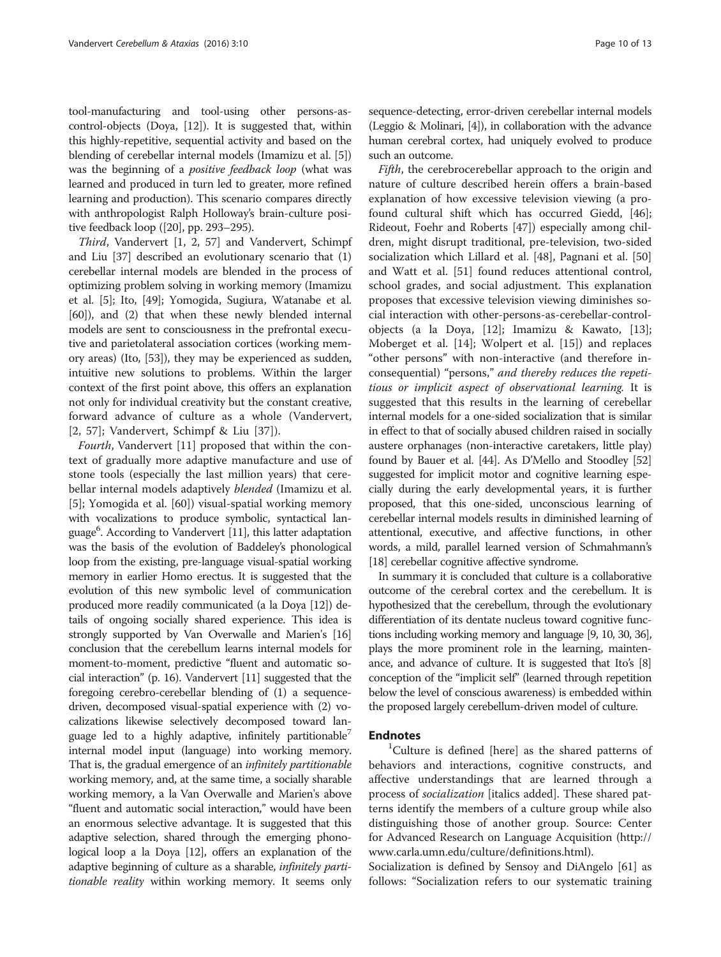tool-manufacturing and tool-using other persons-ascontrol-objects (Doya, [[12](#page-11-0)]). It is suggested that, within this highly-repetitive, sequential activity and based on the blending of cerebellar internal models (Imamizu et al. [\[5](#page-11-0)]) was the beginning of a positive feedback loop (what was learned and produced in turn led to greater, more refined learning and production). This scenario compares directly with anthropologist Ralph Holloway's brain-culture positive feedback loop ([[20](#page-11-0)], pp. 293–295).

Third, Vandervert [[1](#page-10-0), [2,](#page-10-0) [57](#page-12-0)] and Vandervert, Schimpf and Liu [\[37\]](#page-11-0) described an evolutionary scenario that (1) cerebellar internal models are blended in the process of optimizing problem solving in working memory (Imamizu et al. [\[5\]](#page-11-0); Ito, [[49](#page-11-0)]; Yomogida, Sugiura, Watanabe et al. [[60](#page-12-0)]), and (2) that when these newly blended internal models are sent to consciousness in the prefrontal executive and parietolateral association cortices (working memory areas) (Ito, [[53](#page-11-0)]), they may be experienced as sudden, intuitive new solutions to problems. Within the larger context of the first point above, this offers an explanation not only for individual creativity but the constant creative, forward advance of culture as a whole (Vandervert, [[2,](#page-10-0) [57](#page-12-0)]; Vandervert, Schimpf & Liu [\[37](#page-11-0)]).

Fourth, Vandervert [\[11\]](#page-11-0) proposed that within the context of gradually more adaptive manufacture and use of stone tools (especially the last million years) that cerebellar internal models adaptively blended (Imamizu et al. [[5\]](#page-11-0); Yomogida et al. [[60](#page-12-0)]) visual-spatial working memory with vocalizations to produce symbolic, syntactical lan-guage<sup>6</sup>. According to Vandervert [[11](#page-11-0)], this latter adaptation was the basis of the evolution of Baddeley's phonological loop from the existing, pre-language visual-spatial working memory in earlier Homo erectus. It is suggested that the evolution of this new symbolic level of communication produced more readily communicated (a la Doya [\[12](#page-11-0)]) details of ongoing socially shared experience. This idea is strongly supported by Van Overwalle and Marien's [\[16](#page-11-0)] conclusion that the cerebellum learns internal models for moment-to-moment, predictive "fluent and automatic social interaction" (p. 16). Vandervert [[11](#page-11-0)] suggested that the foregoing cerebro-cerebellar blending of (1) a sequencedriven, decomposed visual-spatial experience with (2) vocalizations likewise selectively decomposed toward language led to a highly adaptive, infinitely partitionable<sup> $\ell$ </sup> internal model input (language) into working memory. That is, the gradual emergence of an infinitely partitionable working memory, and, at the same time, a socially sharable working memory, a la Van Overwalle and Marien's above "fluent and automatic social interaction," would have been an enormous selective advantage. It is suggested that this adaptive selection, shared through the emerging phonological loop a la Doya [\[12\]](#page-11-0), offers an explanation of the adaptive beginning of culture as a sharable, *infinitely parti*tionable reality within working memory. It seems only

sequence-detecting, error-driven cerebellar internal models (Leggio & Molinari, [\[4](#page-11-0)]), in collaboration with the advance human cerebral cortex, had uniquely evolved to produce such an outcome.

Fifth, the cerebrocerebellar approach to the origin and nature of culture described herein offers a brain-based explanation of how excessive television viewing (a profound cultural shift which has occurred Giedd, [\[46](#page-11-0)]; Rideout, Foehr and Roberts [[47](#page-11-0)]) especially among children, might disrupt traditional, pre-television, two-sided socialization which Lillard et al. [[48\]](#page-11-0), Pagnani et al. [[50](#page-11-0)] and Watt et al. [[51](#page-11-0)] found reduces attentional control, school grades, and social adjustment. This explanation proposes that excessive television viewing diminishes social interaction with other-persons-as-cerebellar-controlobjects (a la Doya, [[12\]](#page-11-0); Imamizu & Kawato, [\[13](#page-11-0)]; Moberget et al. [\[14\]](#page-11-0); Wolpert et al. [\[15](#page-11-0)]) and replaces "other persons" with non-interactive (and therefore inconsequential) "persons," and thereby reduces the repetitious or implicit aspect of observational learning. It is suggested that this results in the learning of cerebellar internal models for a one-sided socialization that is similar in effect to that of socially abused children raised in socially austere orphanages (non-interactive caretakers, little play) found by Bauer et al. [\[44\]](#page-11-0). As D'Mello and Stoodley [\[52](#page-11-0)] suggested for implicit motor and cognitive learning especially during the early developmental years, it is further proposed, that this one-sided, unconscious learning of cerebellar internal models results in diminished learning of attentional, executive, and affective functions, in other words, a mild, parallel learned version of Schmahmann's [[18](#page-11-0)] cerebellar cognitive affective syndrome.

In summary it is concluded that culture is a collaborative outcome of the cerebral cortex and the cerebellum. It is hypothesized that the cerebellum, through the evolutionary differentiation of its dentate nucleus toward cognitive functions including working memory and language [\[9](#page-11-0), [10](#page-11-0), [30, 36\]](#page-11-0), plays the more prominent role in the learning, maintenance, and advance of culture. It is suggested that Ito's [[8](#page-11-0)] conception of the "implicit self" (learned through repetition below the level of conscious awareness) is embedded within the proposed largely cerebellum-driven model of culture.

#### **Endnotes**

 ${}^{1}$ Culture is defined [here] as the shared patterns of behaviors and interactions, cognitive constructs, and affective understandings that are learned through a process of socialization [italics added]. These shared patterns identify the members of a culture group while also distinguishing those of another group. Source: Center for Advanced Research on Language Acquisition [\(http://](http://www.carla.umn.edu/culture/definitions.html) [www.carla.umn.edu/culture/definitions.html](http://www.carla.umn.edu/culture/definitions.html)).

Socialization is defined by Sensoy and DiAngelo [[61](#page-12-0)] as follows: "Socialization refers to our systematic training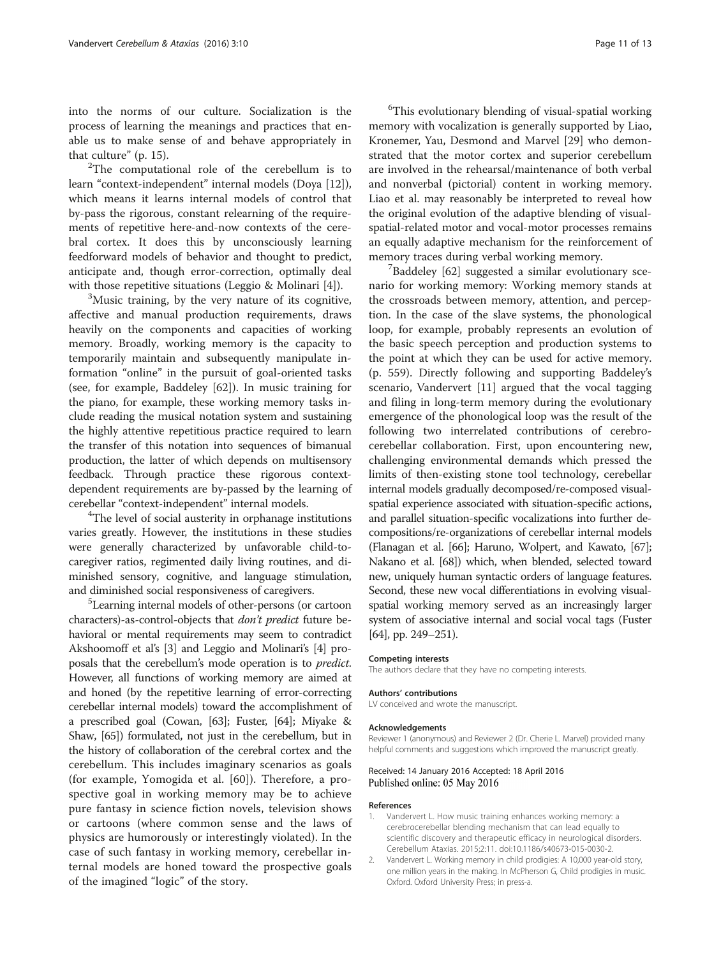<span id="page-10-0"></span>into the norms of our culture. Socialization is the process of learning the meanings and practices that enable us to make sense of and behave appropriately in that culture" (p. 15).

<sup>2</sup>The computational role of the cerebellum is to learn "context-independent" internal models (Doya [\[12](#page-11-0)]), which means it learns internal models of control that by-pass the rigorous, constant relearning of the requirements of repetitive here-and-now contexts of the cerebral cortex. It does this by unconsciously learning feedforward models of behavior and thought to predict, anticipate and, though error-correction, optimally deal with those repetitive situations (Leggio & Molinari [\[4](#page-11-0)]).

<sup>3</sup>Music training, by the very nature of its cognitive, affective and manual production requirements, draws heavily on the components and capacities of working memory. Broadly, working memory is the capacity to temporarily maintain and subsequently manipulate information "online" in the pursuit of goal-oriented tasks (see, for example, Baddeley [[62\]](#page-12-0)). In music training for the piano, for example, these working memory tasks include reading the musical notation system and sustaining the highly attentive repetitious practice required to learn the transfer of this notation into sequences of bimanual production, the latter of which depends on multisensory feedback. Through practice these rigorous contextdependent requirements are by-passed by the learning of cerebellar "context-independent" internal models. <sup>4</sup>

<sup>4</sup>The level of social austerity in orphanage institutions varies greatly. However, the institutions in these studies were generally characterized by unfavorable child-tocaregiver ratios, regimented daily living routines, and diminished sensory, cognitive, and language stimulation, and diminished social responsiveness of caregivers.

Learning internal models of other-persons (or cartoon characters)-as-control-objects that don't predict future behavioral or mental requirements may seem to contradict Akshoomoff et al's [\[3](#page-11-0)] and Leggio and Molinari's [\[4\]](#page-11-0) proposals that the cerebellum's mode operation is to predict. However, all functions of working memory are aimed at and honed (by the repetitive learning of error-correcting cerebellar internal models) toward the accomplishment of a prescribed goal (Cowan, [\[63\]](#page-12-0); Fuster, [\[64\]](#page-12-0); Miyake & Shaw, [\[65\]](#page-12-0)) formulated, not just in the cerebellum, but in the history of collaboration of the cerebral cortex and the cerebellum. This includes imaginary scenarios as goals (for example, Yomogida et al. [[60\]](#page-12-0)). Therefore, a prospective goal in working memory may be to achieve pure fantasy in science fiction novels, television shows or cartoons (where common sense and the laws of physics are humorously or interestingly violated). In the case of such fantasy in working memory, cerebellar internal models are honed toward the prospective goals of the imagined "logic" of the story.

6 This evolutionary blending of visual-spatial working memory with vocalization is generally supported by Liao, Kronemer, Yau, Desmond and Marvel [\[29](#page-11-0)] who demonstrated that the motor cortex and superior cerebellum are involved in the rehearsal/maintenance of both verbal and nonverbal (pictorial) content in working memory. Liao et al. may reasonably be interpreted to reveal how the original evolution of the adaptive blending of visualspatial-related motor and vocal-motor processes remains an equally adaptive mechanism for the reinforcement of memory traces during verbal working memory. <sup>7</sup>

 $\sigma$ Baddeley [[62\]](#page-12-0) suggested a similar evolutionary scenario for working memory: Working memory stands at the crossroads between memory, attention, and perception. In the case of the slave systems, the phonological loop, for example, probably represents an evolution of the basic speech perception and production systems to the point at which they can be used for active memory. (p. 559). Directly following and supporting Baddeley's scenario, Vandervert [\[11\]](#page-11-0) argued that the vocal tagging and filing in long-term memory during the evolutionary emergence of the phonological loop was the result of the following two interrelated contributions of cerebrocerebellar collaboration. First, upon encountering new, challenging environmental demands which pressed the limits of then-existing stone tool technology, cerebellar internal models gradually decomposed/re-composed visualspatial experience associated with situation-specific actions, and parallel situation-specific vocalizations into further decompositions/re-organizations of cerebellar internal models (Flanagan et al. [\[66\]](#page-12-0); Haruno, Wolpert, and Kawato, [\[67](#page-12-0)]; Nakano et al. [[68](#page-12-0)]) which, when blended, selected toward new, uniquely human syntactic orders of language features. Second, these new vocal differentiations in evolving visualspatial working memory served as an increasingly larger system of associative internal and social vocal tags (Fuster [[64](#page-12-0)], pp. 249–251).

#### Competing interests

The authors declare that they have no competing interests.

#### Authors' contributions

LV conceived and wrote the manuscript.

#### Acknowledgements

Reviewer 1 (anonymous) and Reviewer 2 (Dr. Cherie L. Marvel) provided many helpful comments and suggestions which improved the manuscript greatly.

#### Received: 14 January 2016 Accepted: 18 April 2016 Published online: 05 May 2016

#### References

- 1. Vandervert L. How music training enhances working memory: a cerebrocerebellar blending mechanism that can lead equally to scientific discovery and therapeutic efficacy in neurological disorders. Cerebellum Ataxias. 2015;2:11. doi:[10.1186/s40673-015-0030-2.](http://dx.doi.org/10.1186/s40673-015-0030-2)
- 2. Vandervert L. Working memory in child prodigies: A 10,000 year-old story, one million years in the making. In McPherson G, Child prodigies in music. Oxford. Oxford University Press; in press-a.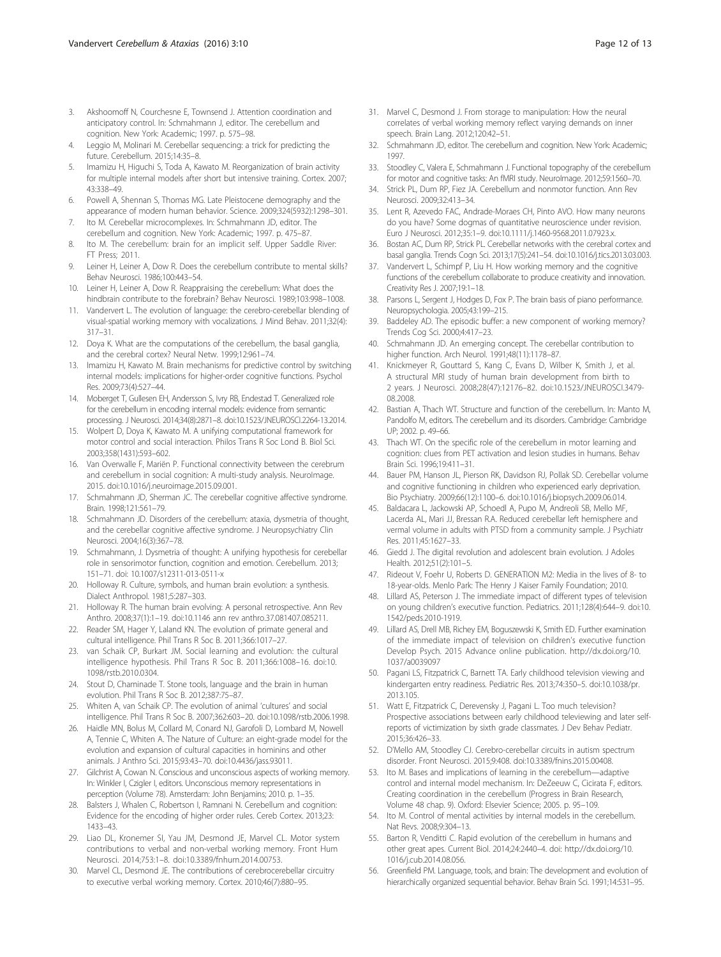- <span id="page-11-0"></span>3. Akshoomoff N, Courchesne E, Townsend J. Attention coordination and anticipatory control. In: Schmahmann J, editor. The cerebellum and cognition. New York: Academic; 1997. p. 575–98.
- 4. Leggio M, Molinari M. Cerebellar sequencing: a trick for predicting the future. Cerebellum. 2015;14:35–8.
- 5. Imamizu H, Higuchi S, Toda A, Kawato M. Reorganization of brain activity for multiple internal models after short but intensive training. Cortex. 2007; 43:338–49.
- 6. Powell A, Shennan S, Thomas MG. Late Pleistocene demography and the appearance of modern human behavior. Science. 2009;324(5932):1298–301.
- 7. Ito M. Cerebellar microcomplexes. In: Schmahmann JD, editor. The cerebellum and cognition. New York: Academic; 1997. p. 475–87.
- 8. Ito M. The cerebellum: brain for an implicit self. Upper Saddle River: FT Press; 2011.
- 9. Leiner H, Leiner A, Dow R. Does the cerebellum contribute to mental skills? Behav Neurosci. 1986;100:443–54.
- 10. Leiner H, Leiner A, Dow R. Reappraising the cerebellum: What does the hindbrain contribute to the forebrain? Behav Neurosci. 1989;103:998–1008.
- 11. Vandervert L. The evolution of language: the cerebro-cerebellar blending of visual-spatial working memory with vocalizations. J Mind Behav. 2011;32(4): 317–31.
- 12. Doya K. What are the computations of the cerebellum, the basal ganglia, and the cerebral cortex? Neural Netw. 1999;12:961–74.
- 13. Imamizu H, Kawato M. Brain mechanisms for predictive control by switching internal models: implications for higher-order cognitive functions. Psychol Res. 2009;73(4):527–44.
- 14. Moberget T, Gullesen EH, Andersson S, Ivry RB, Endestad T. Generalized role for the cerebellum in encoding internal models: evidence from semantic processing. J Neurosci. 2014;34(8):2871–8. doi[:10.1523/JNEUROSCI.2264-13.2014](http://dx.doi.org/10.1523/JNEUROSCI.2264-13.2014).
- 15. Wolpert D, Doya K, Kawato M. A unifying computational framework for motor control and social interaction. Philos Trans R Soc Lond B. Biol Sci. 2003;358(1431):593–602.
- 16. Van Overwalle F, Mariën P. Functional connectivity between the cerebrum and cerebellum in social cognition: A multi-study analysis. NeuroImage. 2015. doi:[10.1016/j.neuroimage.2015.09.001.](http://dx.doi.org/10.1016/j.neuroimage.2015.09.001)
- 17. Schmahmann JD, Sherman JC. The cerebellar cognitive affective syndrome. Brain. 1998;121:561–79.
- 18. Schmahmann JD. Disorders of the cerebellum: ataxia, dysmetria of thought, and the cerebellar cognitive affective syndrome. J Neuropsychiatry Clin Neurosci. 2004;16(3):367–78.
- 19. Schmahmann, J. Dysmetria of thought: A unifying hypothesis for cerebellar role in sensorimotor function, cognition and emotion. Cerebellum. 2013; 151–71. doi: [10.1007/s12311-013-0511-x](http://dx.doi.org/10.1007/s12311-013-0511-x)
- 20. Holloway R. Culture, symbols, and human brain evolution: a synthesis. Dialect Anthropol. 1981;5:287–303.
- 21. Holloway R. The human brain evolving: A personal retrospective. Ann Rev Anthro. 2008;37(1):1–19. doi:10.1146 ann rev anthro.37.081407.085211.
- 22. Reader SM, Hager Y, Laland KN. The evolution of primate general and cultural intelligence. Phil Trans R Soc B. 2011;366:1017–27.
- 23. van Schaik CP, Burkart JM. Social learning and evolution: the cultural intelligence hypothesis. Phil Trans R Soc B. 2011;366:1008–16. doi:[10.](http://dx.doi.org/10.1098/rstb.2010.0304) [1098/rstb.2010.0304.](http://dx.doi.org/10.1098/rstb.2010.0304)
- 24. Stout D, Chaminade T. Stone tools, language and the brain in human evolution. Phil Trans R Soc B. 2012;387:75–87.
- 25. Whiten A, van Schaik CP. The evolution of animal 'cultures' and social intelligence. Phil Trans R Soc B. 2007;362:603–20. doi:[10.1098/rstb.2006.1998](http://dx.doi.org/10.1098/rstb.2006.1998).
- 26. Haidle MN, Bolus M, Collard M, Conard NJ, Garofoli D, Lombard M, Nowell A, Tennie C, Whiten A. The Nature of Culture: an eight-grade model for the evolution and expansion of cultural capacities in hominins and other animals. J Anthro Sci. 2015;93:43–70. doi:[10.4436/jass.93011](http://dx.doi.org/10.4436/jass.93011).
- 27. Gilchrist A, Cowan N. Conscious and unconscious aspects of working memory. In: Winkler I, Czigler I, editors. Unconscious memory representations in perception (Volume 78). Amsterdam: John Benjamins; 2010. p. 1–35.
- 28. Balsters J, Whalen C, Robertson I, Ramnani N. Cerebellum and cognition: Evidence for the encoding of higher order rules. Cereb Cortex. 2013;23: 1433–43.
- 29. Liao DL, Kronemer SI, Yau JM, Desmond JE, Marvel CL. Motor system contributions to verbal and non-verbal working memory. Front Hum Neurosci. 2014;753:1–8. doi:[10.3389/fnhum.2014.00753](http://dx.doi.org/10.3389/fnhum.2014.00753).
- 30. Marvel CL, Desmond JE. The contributions of cerebrocerebellar circuitry to executive verbal working memory. Cortex. 2010;46(7):880–95.
- 31. Marvel C, Desmond J. From storage to manipulation: How the neural correlates of verbal working memory reflect varying demands on inner speech. Brain Lang. 2012;120:42–51.
- 32. Schmahmann JD, editor. The cerebellum and cognition. New York: Academic; 1997.
- 33. Stoodley C, Valera E, Schmahmann J. Functional topography of the cerebellum for motor and cognitive tasks: An fMRI study. NeuroImage. 2012;59:1560–70.
- 34. Strick PL, Dum RP, Fiez JA. Cerebellum and nonmotor function. Ann Rev Neurosci. 2009;32:413–34.
- 35. Lent R, Azevedo FAC, Andrade-Moraes CH, Pinto AVO. How many neurons do you have? Some dogmas of quantitative neuroscience under revision. Euro J Neurosci. 2012;35:1–9. doi[:10.1111/j.1460-9568.2011.07923.x.](http://dx.doi.org/10.1111/j.1460-9568.2011.07923.x)
- 36. Bostan AC, Dum RP, Strick PL. Cerebellar networks with the cerebral cortex and basal ganglia. Trends Cogn Sci. 2013;17(5):241–54. doi:[10.1016/j.tics.2013.03.003.](http://dx.doi.org/10.1016/j.tics.2013.03.003)
- 37. Vandervert L, Schimpf P, Liu H. How working memory and the cognitive functions of the cerebellum collaborate to produce creativity and innovation. Creativity Res J. 2007;19:1–18.
- 38. Parsons L, Sergent J, Hodges D, Fox P. The brain basis of piano performance. Neuropsychologia. 2005;43:199–215.
- 39. Baddeley AD. The episodic buffer: a new component of working memory? Trends Cog Sci. 2000;4:417–23.
- 40. Schmahmann JD. An emerging concept. The cerebellar contribution to higher function. Arch Neurol. 1991;48(11):1178–87.
- 41. Knickmeyer R, Gouttard S, Kang C, Evans D, Wilber K, Smith J, et al. A structural MRI study of human brain development from birth to 2 years. J Neurosci. 2008;28(47):12176–82. doi[:10.1523/JNEUROSCI.3479-](http://dx.doi.org/10.1523/JNEUROSCI.3479-08.2008) [08.2008](http://dx.doi.org/10.1523/JNEUROSCI.3479-08.2008).
- 42. Bastian A, Thach WT. Structure and function of the cerebellum. In: Manto M, Pandolfo M, editors. The cerebellum and its disorders. Cambridge: Cambridge UP; 2002. p. 49–66.
- 43. Thach WT. On the specific role of the cerebellum in motor learning and cognition: clues from PET activation and lesion studies in humans. Behav Brain Sci. 1996;19:411–31.
- 44. Bauer PM, Hanson JL, Pierson RK, Davidson RJ, Pollak SD. Cerebellar volume and cognitive functioning in children who experienced early deprivation. Bio Psychiatry. 2009;66(12):1100–6. doi:[10.1016/j.biopsych.2009.06.014.](http://dx.doi.org/10.1016/j.biopsych.2009.06.014)
- 45. Baldacara L, Jackowski AP, Schoedl A, Pupo M, Andreoli SB, Mello MF, Lacerda AL, Mari JJ, Bressan R.A. Reduced cerebellar left hemisphere and vermal volume in adults with PTSD from a community sample. J Psychiatr Res. 2011;45:1627–33.
- 46. Giedd J. The digital revolution and adolescent brain evolution. J Adoles Health. 2012;51(2):101–5.
- 47. Rideout V, Foehr U, Roberts D. GENERATION M2: Media in the lives of 8- to 18-year-olds. Menlo Park: The Henry J Kaiser Family Foundation; 2010.
- 48. Lillard AS, Peterson J. The immediate impact of different types of television on young children's executive function. Pediatrics. 2011;128(4):644–9. doi[:10.](http://dx.doi.org/10.1542/peds.2010-1919) [1542/peds.2010-1919](http://dx.doi.org/10.1542/peds.2010-1919).
- 49. Lillard AS, Drell MB, Richey EM, Boguszewski K, Smith ED. Further examination of the immediate impact of television on children's executive function Develop Psych. 2015 Advance online publication. [http://dx.doi.org/10.](http://dx.doi.org/10.1037/a0039097) [1037/a0039097](http://dx.doi.org/10.1037/a0039097)
- 50. Pagani LS, Fitzpatrick C, Barnett TA. Early childhood television viewing and kindergarten entry readiness. Pediatric Res. 2013;74:350–5. doi[:10.1038/pr.](http://dx.doi.org/10.1038/pr.2013.105) [2013.105.](http://dx.doi.org/10.1038/pr.2013.105)
- 51. Watt E, Fitzpatrick C, Derevensky J, Pagani L. Too much television? Prospective associations between early childhood televiewing and later selfreports of victimization by sixth grade classmates. J Dev Behav Pediatr. 2015;36:426–33.
- 52. D'Mello AM, Stoodley CJ. Cerebro-cerebellar circuits in autism spectrum disorder. Front Neurosci. 2015;9:408. doi:[10.3389/fnins.2015.00408](http://dx.doi.org/10.3389/fnins.2015.00408).
- 53. Ito M. Bases and implications of learning in the cerebellum—adaptive control and internal model mechanism. In: DeZeeuw C, Cicirata F, editors. Creating coordination in the cerebellum (Progress in Brain Research, Volume 48 chap. 9). Oxford: Elsevier Science; 2005. p. 95–109.
- 54. Ito M. Control of mental activities by internal models in the cerebellum. Nat Revs. 2008;9:304–13.
- 55. Barton R, Venditti C. Rapid evolution of the cerebellum in humans and other great apes. Current Biol. 2014;24:2440–4. doi: [http://dx.doi.org/10.](http://dx.doi.org/10.1016/j.cub.2014.08.056) [1016/j.cub.2014.08.056](http://dx.doi.org/10.1016/j.cub.2014.08.056).
- 56. Greenfield PM. Language, tools, and brain: The development and evolution of hierarchically organized sequential behavior. Behav Brain Sci. 1991;14:531–95.